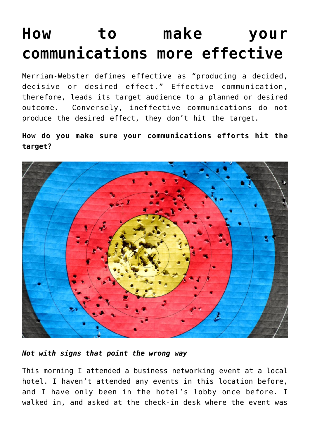## **[How to make your](https://deborahbrody.com/2019/06/how-to-make-your-communications-more-effective/) [communications more effective](https://deborahbrody.com/2019/06/how-to-make-your-communications-more-effective/)**

Merriam-Webster defines effective as "producing a decided, decisive or desired effect." Effective communication, therefore, leads its target audience to a planned or desired outcome. Conversely, ineffective communications do not produce the desired effect, they don't hit the target.

**How do you make sure your communications efforts hit the target?**



*Not with signs that point the wrong way*

This morning I attended a business networking event at a local hotel. I haven't attended any events in this location before, and I have only been in the hotel's lobby once before. I walked in, and asked at the check-in desk where the event was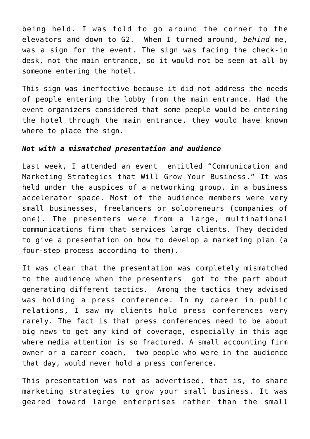being held. I was told to go around the corner to the elevators and down to G2. When I turned around, *behind* me, was a sign for the event. The sign was facing the check-in desk, not the main entrance, so it would not be seen at all by someone entering the hotel.

This sign was ineffective because it did not address the needs of people entering the lobby from the main entrance. Had the event organizers considered that some people would be entering the hotel through the main entrance, they would have known where to place the sign.

## *Not with a mismatched presentation and audience*

Last week, I attended an event entitled "Communication and Marketing Strategies that Will Grow Your Business." It was held under the auspices of a networking group, in a business accelerator space. Most of the audience members were very small businesses, freelancers or solopreneurs (companies of one). The presenters were from a large, multinational communications firm that services large clients. They decided to give a presentation on how to develop a marketing plan (a four-step process according to them).

It was clear that the presentation was completely mismatched to the audience when the presenters got to the part about generating different tactics. Among the tactics they advised was holding a press conference. In my career in public relations, I saw my clients hold press conferences very rarely. The fact is that press conferences need to be about big news to get any kind of coverage, especially in this age where media attention is so fractured. A small accounting firm owner or a career coach, two people who were in the audience that day, would never hold a press conference.

This presentation was not as advertised, that is, to share marketing strategies to grow your small business. It was geared toward large enterprises rather than the small